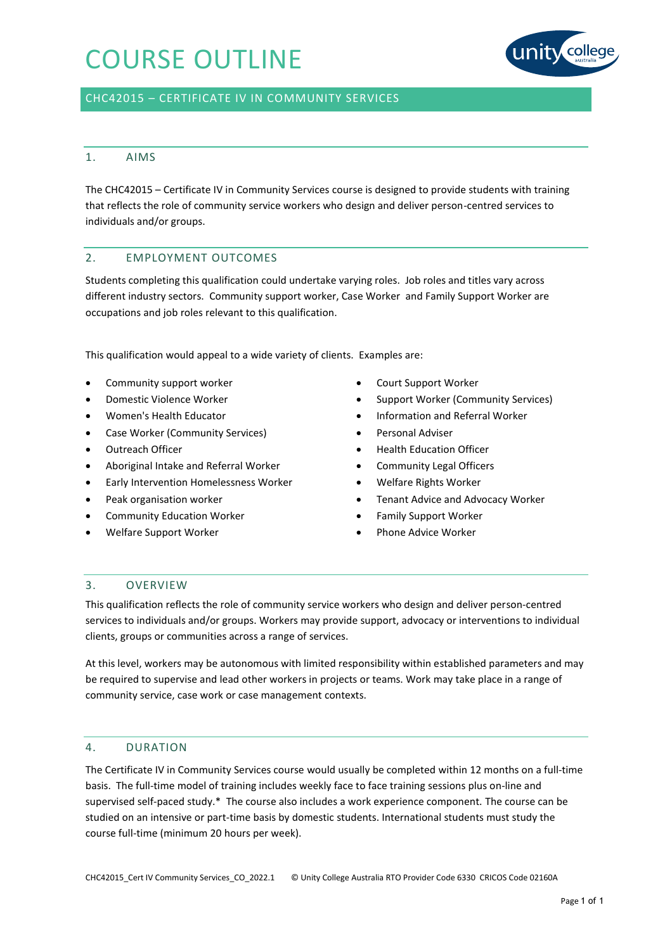

## CHC42015 – CERTIFICATE IV IN COMMUNITY SERVICES

### 1. AIMS

The CHC42015 – Certificate IV in Community Services course is designed to provide students with training that reflects the role of community service workers who design and deliver person-centred services to individuals and/or groups.

### 2. EMPLOYMENT OUTCOMES

Students completing this qualification could undertake varying roles. Job roles and titles vary across different industry sectors. Community support worker, Case Worker and Family Support Worker are occupations and job roles relevant to this qualification.

This qualification would appeal to a wide variety of clients. Examples are:

- Community support worker
- Domestic Violence Worker
- Women's Health Educator
- Case Worker (Community Services)
- Outreach Officer
- Aboriginal Intake and Referral Worker
- Early Intervention Homelessness Worker
- Peak organisation worker
- Community Education Worker
- Welfare Support Worker
- Court Support Worker
- Support Worker (Community Services)
- Information and Referral Worker
- **•** Personal Adviser
- Health Education Officer
- Community Legal Officers
- Welfare Rights Worker
- Tenant Advice and Advocacy Worker
- Family Support Worker
- Phone Advice Worker

#### 3. OVERVIEW

This qualification reflects the role of community service workers who design and deliver person-centred services to individuals and/or groups. Workers may provide support, advocacy or interventions to individual clients, groups or communities across a range of services.

At this level, workers may be autonomous with limited responsibility within established parameters and may be required to supervise and lead other workers in projects or teams. Work may take place in a range of community service, case work or case management contexts.

#### 4. DURATION

The Certificate IV in Community Services course would usually be completed within 12 months on a full-time basis. The full-time model of training includes weekly face to face training sessions plus on-line and supervised self-paced study.\* The course also includes a work experience component. The course can be studied on an intensive or part-time basis by domestic students. International students must study the course full-time (minimum 20 hours per week).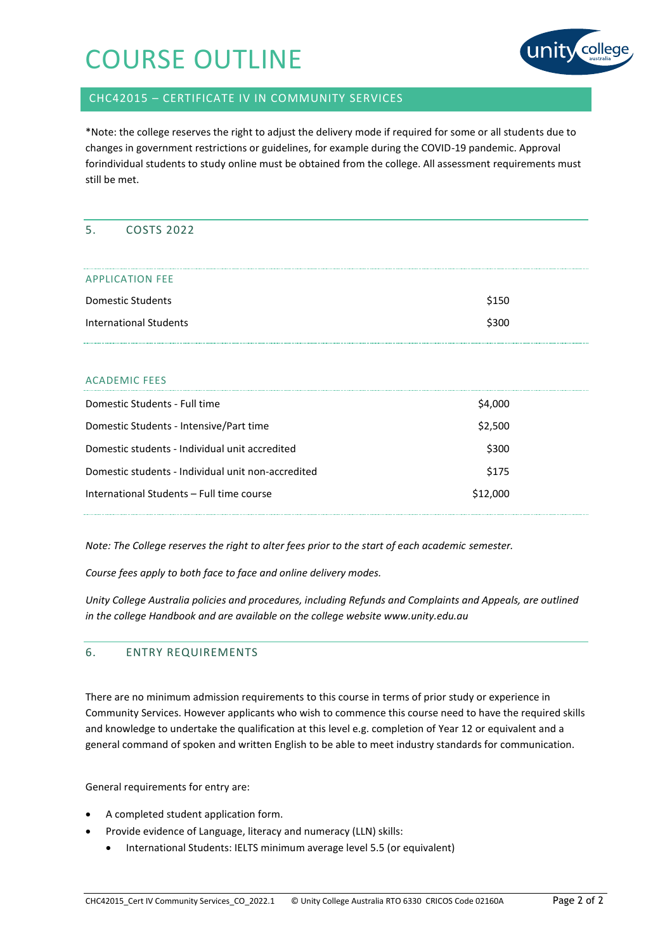

## CHC42015 – CERTIFICATE IV IN COMMUNITY SERVICES

\*Note: the college reserves the right to adjust the delivery mode if required for some or all students due to changes in government restrictions or guidelines, for example during the COVID-19 pandemic. Approval forindividual students to study online must be obtained from the college. All assessment requirements must still be met.

### 5. COSTS 2022

| <b>APPLICATION FEE</b> |       |
|------------------------|-------|
| Domestic Students      | \$150 |
| International Students | \$300 |

#### ACADEMIC FEES

| Domestic Students - Full time                      | \$4,000  |  |
|----------------------------------------------------|----------|--|
| Domestic Students - Intensive/Part time            | \$2,500  |  |
| Domestic students - Individual unit accredited     | \$300    |  |
| Domestic students - Individual unit non-accredited | \$175    |  |
| International Students - Full time course          | \$12,000 |  |
|                                                    |          |  |

*Note: The College reserves the right to alter fees prior to the start of each academic semester.* 

*Course fees apply to both face to face and online delivery modes.* 

*Unity College Australia policies and procedures, including Refunds and Complaints and Appeals, are outlined in the college Handbook and are available on the college website www.unity.edu.au*

### 6. ENTRY REQUIREMENTS

There are no minimum admission requirements to this course in terms of prior study or experience in Community Services. However applicants who wish to commence this course need to have the required skills and knowledge to undertake the qualification at this level e.g. completion of Year 12 or equivalent and a general command of spoken and written English to be able to meet industry standards for communication.

General requirements for entry are:

- A completed student application form.
- Provide evidence of Language, literacy and numeracy (LLN) skills:
	- International Students: IELTS minimum average level 5.5 (or equivalent)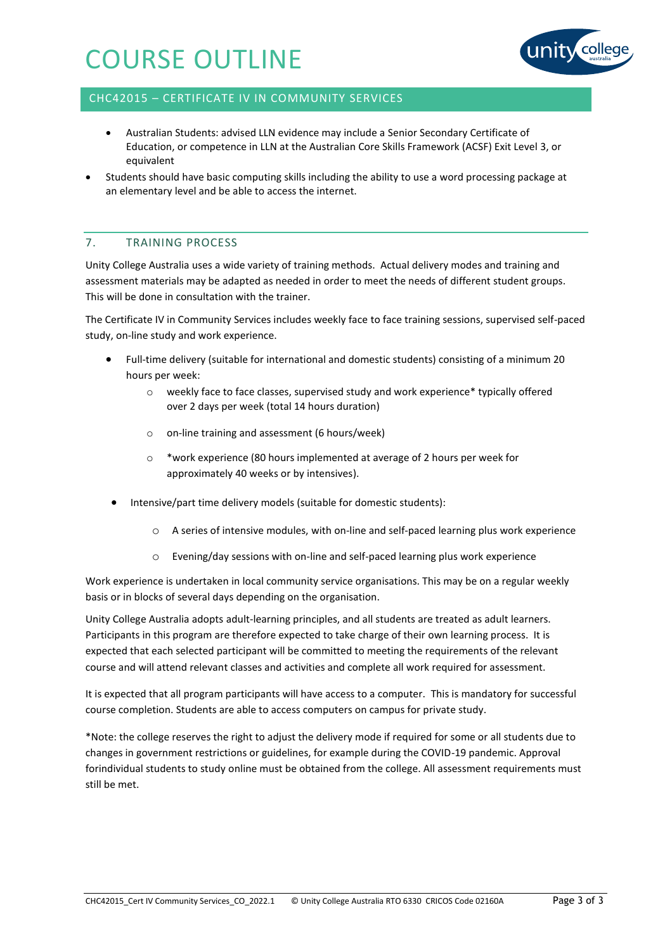

## CHC42015 – CERTIFICATE IV IN COMMUNITY SERVICES

- Australian Students: advised LLN evidence may include a Senior Secondary Certificate of Education, or competence in LLN at the Australian Core Skills Framework (ACSF) Exit Level 3, or equivalent
- Students should have basic computing skills including the ability to use a word processing package at an elementary level and be able to access the internet.

### 7. TRAINING PROCESS

Unity College Australia uses a wide variety of training methods. Actual delivery modes and training and assessment materials may be adapted as needed in order to meet the needs of different student groups. This will be done in consultation with the trainer.

The Certificate IV in Community Services includes weekly face to face training sessions, supervised self-paced study, on-line study and work experience.

- Full-time delivery (suitable for international and domestic students) consisting of a minimum 20 hours per week:
	- $\circ$  weekly face to face classes, supervised study and work experience\* typically offered over 2 days per week (total 14 hours duration)
	- o on-line training and assessment (6 hours/week)
	- o \*work experience (80 hours implemented at average of 2 hours per week for approximately 40 weeks or by intensives).
- Intensive/part time delivery models (suitable for domestic students):
	- o A series of intensive modules, with on-line and self-paced learning plus work experience
	- o Evening/day sessions with on-line and self-paced learning plus work experience

Work experience is undertaken in local community service organisations. This may be on a regular weekly basis or in blocks of several days depending on the organisation.

Unity College Australia adopts adult-learning principles, and all students are treated as adult learners. Participants in this program are therefore expected to take charge of their own learning process. It is expected that each selected participant will be committed to meeting the requirements of the relevant course and will attend relevant classes and activities and complete all work required for assessment.

It is expected that all program participants will have access to a computer. This is mandatory for successful course completion. Students are able to access computers on campus for private study.

\*Note: the college reserves the right to adjust the delivery mode if required for some or all students due to changes in government restrictions or guidelines, for example during the COVID-19 pandemic. Approval forindividual students to study online must be obtained from the college. All assessment requirements must still be met.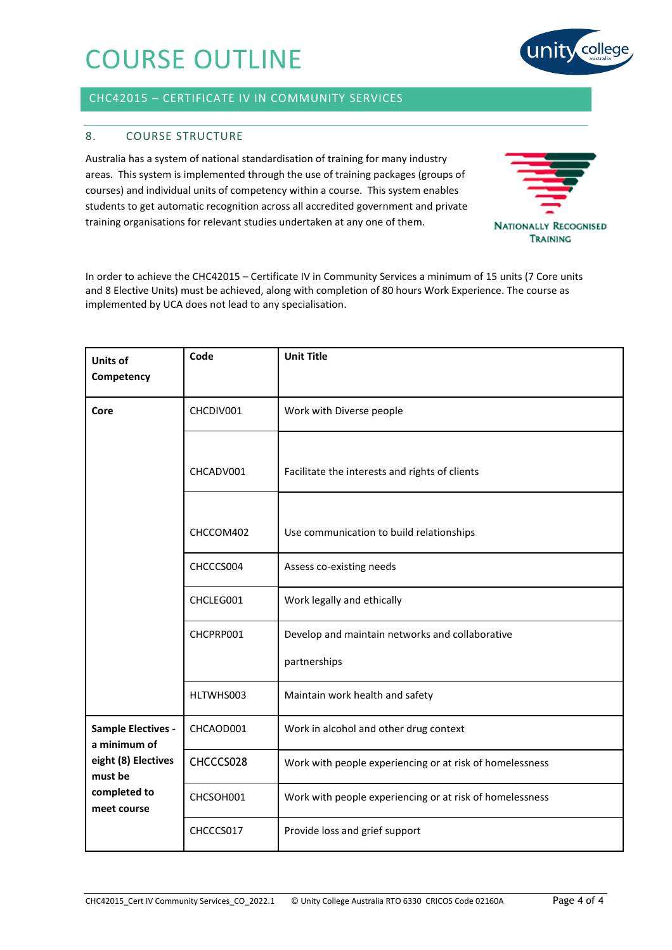# CHC42015 – CERTIFICATE IV IN COMMUNITY SERVICES

### 8. COURSE STRUCTURE

Australia has a system of national standardisation of training for many industry areas. This system is implemented through the use of training packages (groups of courses) and individual units of competency within a course. This system enables students to get automatic recognition across all accredited government and private training organisations for relevant studies undertaken at any one of them.

In order to achieve the CHC42015 – Certificate IV in Community Services a minimum of 15 units (7 Core units and 8 Elective Units) must be achieved, along with completion of 80 hours Work Experience. The course as implemented by UCA does not lead to any specialisation.

| <b>Units of</b><br>Competency                                                                              | Code      | <b>Unit Title</b>                                        |
|------------------------------------------------------------------------------------------------------------|-----------|----------------------------------------------------------|
| Core                                                                                                       | CHCDIV001 | Work with Diverse people                                 |
|                                                                                                            | CHCADV001 | Facilitate the interests and rights of clients           |
|                                                                                                            | CHCCOM402 | Use communication to build relationships                 |
|                                                                                                            | CHCCCS004 | Assess co-existing needs                                 |
|                                                                                                            | CHCLEG001 | Work legally and ethically                               |
|                                                                                                            | CHCPRP001 | Develop and maintain networks and collaborative          |
|                                                                                                            |           | partnerships                                             |
|                                                                                                            | HLTWHS003 | Maintain work health and safety                          |
| <b>Sample Electives -</b><br>a minimum of<br>eight (8) Electives<br>must be<br>completed to<br>meet course | CHCAOD001 | Work in alcohol and other drug context                   |
|                                                                                                            | CHCCCS028 | Work with people experiencing or at risk of homelessness |
|                                                                                                            | CHCSOH001 | Work with people experiencing or at risk of homelessness |
|                                                                                                            | CHCCCS017 | Provide loss and grief support                           |





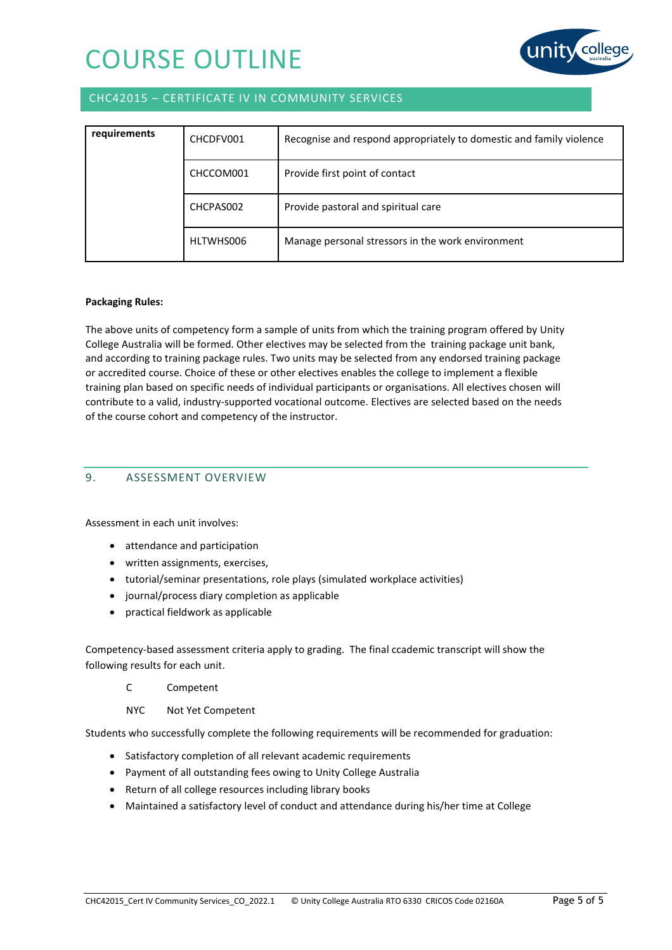

## CHC42015 – CERTIFICATE IV IN COMMUNITY SERVICES

| requirements | CHCDFV001 | Recognise and respond appropriately to domestic and family violence |
|--------------|-----------|---------------------------------------------------------------------|
|              | CHCCOM001 | Provide first point of contact                                      |
|              | CHCPAS002 | Provide pastoral and spiritual care                                 |
|              | HLTWHS006 | Manage personal stressors in the work environment                   |

#### **Packaging Rules:**

The above units of competency form a sample of units from which the training program offered by Unity College Australia will be formed. Other electives may be selected from the training package unit bank, and according to training package rules. Two units may be selected from any endorsed training package or accredited course. Choice of these or other electives enables the college to implement a flexible training plan based on specific needs of individual participants or organisations. All electives chosen will contribute to a valid, industry-supported vocational outcome. Electives are selected based on the needs of the course cohort and competency of the instructor.

#### 9. ASSESSMENT OVERVIEW

Assessment in each unit involves:

- attendance and participation
- written assignments, exercises,
- tutorial/seminar presentations, role plays (simulated workplace activities)
- journal/process diary completion as applicable
- practical fieldwork as applicable

Competency-based assessment criteria apply to grading. The final ccademic transcript will show the following results for each unit.

- C Competent
- NYC Not Yet Competent

Students who successfully complete the following requirements will be recommended for graduation:

- Satisfactory completion of all relevant academic requirements
- Payment of all outstanding fees owing to Unity College Australia
- Return of all college resources including library books
- Maintained a satisfactory level of conduct and attendance during his/her time at College